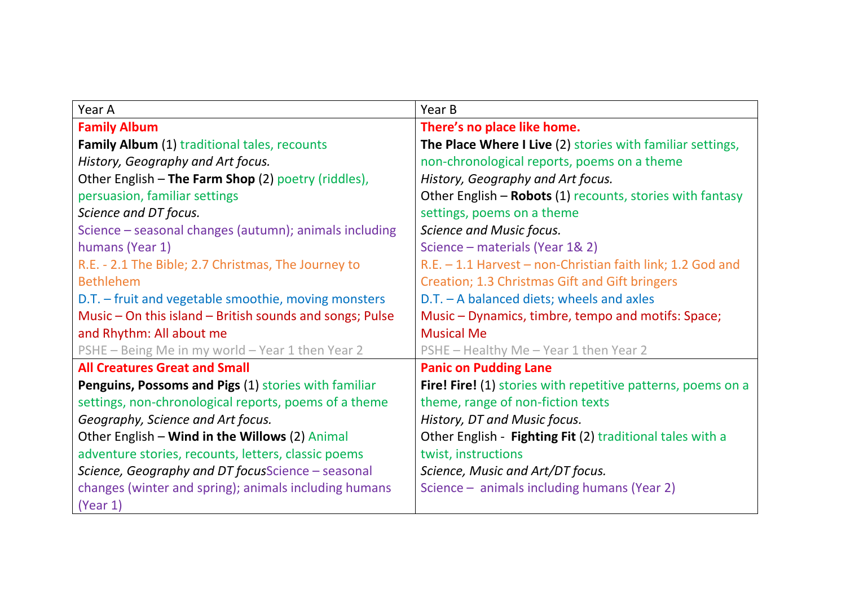| Year A                                                   | Year B                                                       |
|----------------------------------------------------------|--------------------------------------------------------------|
| <b>Family Album</b>                                      | There's no place like home.                                  |
| <b>Family Album</b> (1) traditional tales, recounts      | The Place Where I Live (2) stories with familiar settings,   |
| History, Geography and Art focus.                        | non-chronological reports, poems on a theme                  |
| Other English - The Farm Shop (2) poetry (riddles),      | History, Geography and Art focus.                            |
| persuasion, familiar settings                            | Other English - Robots (1) recounts, stories with fantasy    |
| Science and DT focus.                                    | settings, poems on a theme                                   |
| Science - seasonal changes (autumn); animals including   | Science and Music focus.                                     |
| humans (Year 1)                                          | Science – materials (Year 1& 2)                              |
| R.E. - 2.1 The Bible; 2.7 Christmas, The Journey to      | R.E. - 1.1 Harvest - non-Christian faith link; 1.2 God and   |
| <b>Bethlehem</b>                                         | Creation; 1.3 Christmas Gift and Gift bringers               |
| D.T. - fruit and vegetable smoothie, moving monsters     | $D.T. - A balanced$ diets; wheels and axles                  |
| Music – On this island – British sounds and songs; Pulse | Music – Dynamics, timbre, tempo and motifs: Space;           |
| and Rhythm: All about me                                 | <b>Musical Me</b>                                            |
| PSHE - Being Me in my world - Year 1 then Year 2         | PSHE - Healthy Me - Year 1 then Year 2                       |
| <b>All Creatures Great and Small</b>                     | <b>Panic on Pudding Lane</b>                                 |
| Penguins, Possoms and Pigs (1) stories with familiar     | Fire! Fire! (1) stories with repetitive patterns, poems on a |
| settings, non-chronological reports, poems of a theme    | theme, range of non-fiction texts                            |
| Geography, Science and Art focus.                        | History, DT and Music focus.                                 |
| Other English - Wind in the Willows (2) Animal           | Other English - Fighting Fit (2) traditional tales with a    |
| adventure stories, recounts, letters, classic poems      | twist, instructions                                          |
| Science, Geography and DT focusScience - seasonal        | Science, Music and Art/DT focus.                             |
| changes (winter and spring); animals including humans    | Science – animals including humans (Year 2)                  |
| (Year 1)                                                 |                                                              |